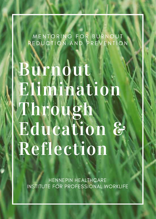MENTORING FOR BURNOUT REDUCTION AND PREVENTION

Burnout Elimination Through Education & Reflection

HENNEPIN HEALTHCARE INSTITUTE FOR PROFESSIONAL WORKLIFE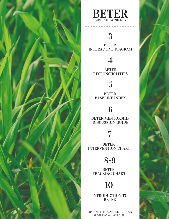



## 3

BETER INTERACTIVE DIAGRAM

## 4

BETER **RESPONSIBILITIES** 

## 5

BETER BASELINE INDEX

### 6

BETER MENTORSHIP DISCUSSION GUIDE

### 7

BETER INTERVENTION CHART

## 8-9

BETER TRACKING CHART

# 10

INTRODUCTION TO BETER

HENNEPIN HEALTHCARE INSTITUTE FOR PROFESSIONAL WORKLIFE

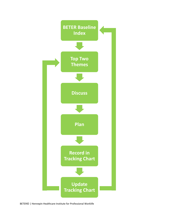

BETER© | Hennepin Healthcare Institute for Professional Worklife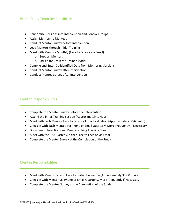#### PI and Study Team Responsibilities

- Randomize Divisions into Intervention and Control Groups
- Assign Mentors to Mentees
- Conduct Mentor Survey before Intervention
- Lead Mentors through Initial Training
- Meet with Mentors Monthly (Face to Face or via Email)
	- o Support Mentors
	- o Utilize the Train the Trainer Model
- Compile and Enter De-identified Data from Mentoring Sessions
- Conduct Mentor Survey after Intervention
- Conduct Mentee Survey after Intervention

#### Mentor Responsibilities

- Complete the Mentor Survey Before the Intervention
- Attend the Initial Training Session (Approximately 1 Hour)
- Meet with Each Mentee Face to Face for Initial Evaluation (Approximately 30-60 min.)
- Check in with Each Mentee via Phone or Email Quarterly, More Frequently if Necessary
- Document Interactions and Progress Using Tracking Sheet
- Meet with the PIs Quarterly, either Face to Face or via Email
- Complete the Mentor Survey at the Completion of the Study

#### Mentee Responsibilities

- Meet with Mentor Face to Face for Initial Evaluation (Approximately 30-60 min.)
- Check in with Mentor via Phone or Email Quarterly, More Frequently if Necessary
- Complete the Mentee Survey at the Completion of the Study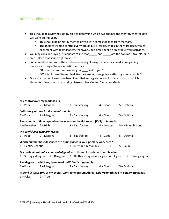#### BETER Baseline Index

- This should be reviewed side-by-side to determine which two themes the mentor/ mentee pair will work on this year.
	- o This should be primarily mentee driven with some guidance from mentors.
	- $\circ$  The themes include control over workload, EHR stress, chaos in the workplace, values alignment with team leaders, teamwork, and time spent on enjoyable work activities.
- You may consider saying, "It appears to me that \_\_\_\_\_ and \_\_\_\_\_ are the two most troublesome areas. Does that sound right to you?"
- Some mentees will know their distress areas right away. Others may need some guiding questions to begin the conversation such as:
	- o "How important does working on \_\_\_\_ feel to you?"
	- $\circ$  "Which of these themes feel like they are most negatively affecting your worklife?"

\_\_\_\_\_\_\_\_\_\_\_\_\_\_\_\_\_\_\_\_\_\_\_\_\_\_\_\_\_\_\_\_\_\_\_\_\_\_\_\_\_\_\_\_\_\_\_\_\_\_\_\_\_\_\_\_\_\_\_\_\_\_\_\_\_\_\_\_\_\_\_\_\_\_\_\_\_\_\_\_\_\_

• Once the top two items have been identified and agreed upon, it's time to discuss which elements of each item are causing distress. (See Mentor Discussion Guide)

|                               | My control over my workload is:                            |                                                                                                   |            |                    |
|-------------------------------|------------------------------------------------------------|---------------------------------------------------------------------------------------------------|------------|--------------------|
| $1 -$ Poor                    | 2 – Marginal                                               | 3 – Satisfactory                                                                                  | $4 - Good$ | 5 - Optimal        |
|                               | Sufficiency of time for documentation is:                  |                                                                                                   |            |                    |
| $1 -$ Poor                    | 2 – Marginal                                               | 3 – Satisfactory                                                                                  | 4 – Good   | 5 - Optimal        |
|                               |                                                            | The amount of time I spend on the electronic health record (EHR) at home is:                      |            |                    |
| $1 -$ Excessive<br>$2 - High$ |                                                            | 3 – Satisfactory                                                                                  | 4 – Modest | 5 - Minimal/ None  |
|                               | My proficiency with EHR use is:                            |                                                                                                   |            |                    |
| $1 -$ Poor                    | 2 – Marginal                                               | 3 – Satisfactory                                                                                  | 4 – Good   | 5 - Optimal        |
|                               |                                                            | Which number best describes the atmosphere in your primary work area?                             |            |                    |
| 1 - Hectic/ Chaotic           | 2                                                          | 3 – Busy, but reasonable                                                                          | 4          | $5 -$ Calm         |
|                               |                                                            | My professional values are well aligned with those of my department leaders:                      |            |                    |
|                               |                                                            | 1 – Strongly disagree 2 – Disagree 3 – Neither disagree nor agree 4 – Agree                       |            | 5 - Strongly agree |
|                               | The degree to which my team works efficiently together is: |                                                                                                   |            |                    |
| $1 -$ Poor                    | 2 – Marginal                                               | 3 – Satisfactory                                                                                  | 4 – Good   | 5 - Optimal        |
|                               |                                                            | I spend at least 10% of my overall work time on something I enjoy/something I'm passionate about: |            |                    |
| 1 – False                     | $2 - True$                                                 |                                                                                                   |            |                    |

#### BETER© | Hennepin Healthcare Institute for Professional Worklife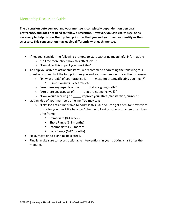#### Mentorship Discussion Guide

**The discussion between you and your mentee is completely dependent on personal preference, and does not need to follow a structure. However, you can use this guide as necessary to help discuss the top two priorities that you and your mentee identify as their stressors. This conversation may evolve differently with each mentee.** 

- If needed, consider the following prompts to start gathering meaningful information:
	- o "Tell me more about how this affects you."
	- o "How does this impact your worklife?"
- To help you arrive at actionable items, we recommend addressing the following four questions for each of the two priorities you and your mentee identify as their stressors.
	- o "In what area(s) of your practice is \_\_\_\_\_most important/affecting you most?"
		- **Clinic, Consults, Research, etc.**
	- o "Are there any aspects of the \_\_\_\_\_ that are going well?"
	- o "Are there any aspects of \_\_\_\_\_ that are not going well?"
	- o "How would working on \_\_\_\_\_ improve your stress/satisfaction/burnout?"
- Get an idea of your mentee's timeline. You may say:
	- $\circ$  "Let's look at a time frame to address this issue so I can get a feel for how critical this is for your work life balance." Use the following options to agree on an ideal time frame.
		- Immediate (0-4 weeks)
		- Short Range (1-3 months)
		- Intermediate (3-6 months)
		- Long Range (6-12 months)
- Next, move on to planning next steps.
- Finally, make sure to record actionable interventions in your tracking chart after the meeting.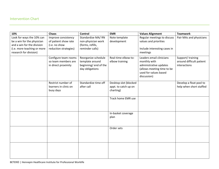### Intervention Chart

| 10%                                                                                                                                            | Chaos                                                                                 | <b>Control</b>                                                                     | <b>EMR</b>                                                 | <b>Values Alignment</b>                                                                                                                  | <b>Teamwork</b>                                              |
|------------------------------------------------------------------------------------------------------------------------------------------------|---------------------------------------------------------------------------------------|------------------------------------------------------------------------------------|------------------------------------------------------------|------------------------------------------------------------------------------------------------------------------------------------------|--------------------------------------------------------------|
| Look for ways the 10% can<br>be a win for the physician<br>and a win for the division<br>(i.e. more teaching or more<br>research for division) | Improve consistency<br>of patient show rate<br>(i.e. no show<br>reduction strategies) | Standardize MA/RN<br>non-physician work<br>(forms, refills,<br>reminder calls)     | Note template<br>development                               | Regular meetings to discuss<br>values and priorities<br>Include interesting cases in<br>meetings                                         | Pair MAs and physicians                                      |
|                                                                                                                                                | Configure team rooms<br>so team members are<br>in direct proximity                    | Reorganize schedule<br>template around<br>beginning/ end of the<br>day obligations | Real-time elbow-to-<br>elbow training                      | Leaders email clinicians<br>monthly with<br>administrative updates<br>(allows meeting time to be<br>used for values based<br>discussion) | Support/training<br>around difficult patient<br>interactions |
|                                                                                                                                                | Restrict number of<br>learners in clinic on<br>busy days                              | Standardize time off<br>after call                                                 | Desktop slot (blocked<br>appt. to catch up on<br>charting) |                                                                                                                                          | Develop a float pool to<br>help when short staffed           |
|                                                                                                                                                |                                                                                       |                                                                                    | Track home EMR use                                         |                                                                                                                                          |                                                              |
|                                                                                                                                                |                                                                                       |                                                                                    | In-basket coverage<br>plan                                 |                                                                                                                                          |                                                              |
|                                                                                                                                                |                                                                                       |                                                                                    | Order sets                                                 |                                                                                                                                          |                                                              |
|                                                                                                                                                |                                                                                       |                                                                                    |                                                            |                                                                                                                                          |                                                              |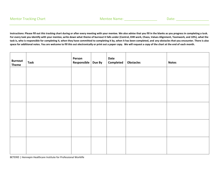**Instructions: Please fill out this tracking chart during or after every meeting with your mentee. We also advise that you fill in the blanks as you progress in completing a task. For every task you identify with your mentee, write down what theme of burnout it falls under (Control, EHR work, Chaos, Values Alignment, Teamwork, and 10%), what the task is, who is responsible for completing it, when they have committed to completing it by, when it has been completed, and any obstacles that you encounter. There is also space for additional notes. You are welcome to fill this out electronically or print out a paper copy. We will request a copy of the chart at the end of each month.** 

| <b>Burnout</b><br><b>Theme</b> | <b>Task</b> | Person<br>Responsible   Due By | Date<br>Completed | <b>Obstacles</b> | <b>Notes</b> |
|--------------------------------|-------------|--------------------------------|-------------------|------------------|--------------|
|                                |             |                                |                   |                  |              |
|                                |             |                                |                   |                  |              |
|                                |             |                                |                   |                  |              |
|                                |             |                                |                   |                  |              |
|                                |             |                                |                   |                  |              |
|                                |             |                                |                   |                  |              |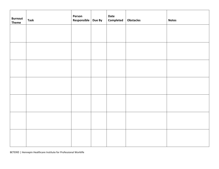| <b>Burnout</b><br><b>Theme</b> | <b>Task</b> | Person<br>Responsible Due By | Date<br>Completed | Obstacles | <b>Notes</b> |
|--------------------------------|-------------|------------------------------|-------------------|-----------|--------------|
|                                |             |                              |                   |           |              |
|                                |             |                              |                   |           |              |
|                                |             |                              |                   |           |              |
|                                |             |                              |                   |           |              |
|                                |             |                              |                   |           |              |
|                                |             |                              |                   |           |              |
|                                |             |                              |                   |           |              |
|                                |             |                              |                   |           |              |

BETER© | Hennepin Healthcare Institute for Professional Worklife